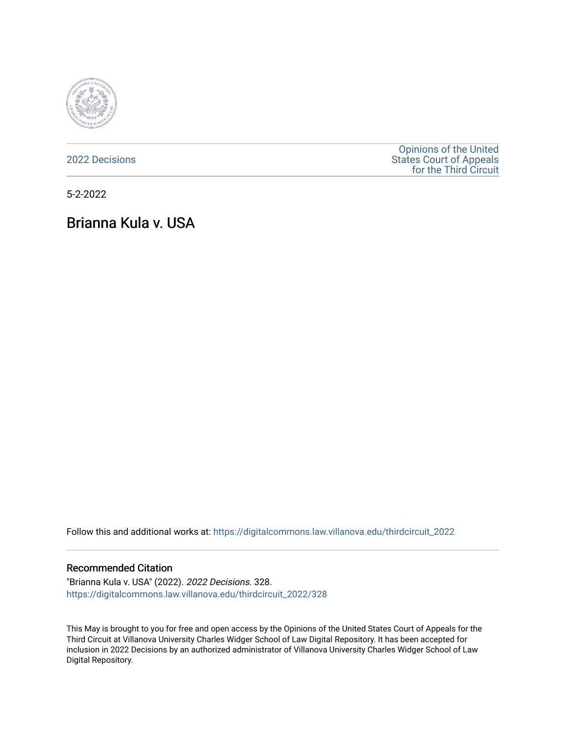

[2022 Decisions](https://digitalcommons.law.villanova.edu/thirdcircuit_2022)

[Opinions of the United](https://digitalcommons.law.villanova.edu/thirdcircuit)  [States Court of Appeals](https://digitalcommons.law.villanova.edu/thirdcircuit)  [for the Third Circuit](https://digitalcommons.law.villanova.edu/thirdcircuit) 

5-2-2022

# Brianna Kula v. USA

Follow this and additional works at: [https://digitalcommons.law.villanova.edu/thirdcircuit\\_2022](https://digitalcommons.law.villanova.edu/thirdcircuit_2022?utm_source=digitalcommons.law.villanova.edu%2Fthirdcircuit_2022%2F328&utm_medium=PDF&utm_campaign=PDFCoverPages) 

#### Recommended Citation

"Brianna Kula v. USA" (2022). 2022 Decisions. 328. [https://digitalcommons.law.villanova.edu/thirdcircuit\\_2022/328](https://digitalcommons.law.villanova.edu/thirdcircuit_2022/328?utm_source=digitalcommons.law.villanova.edu%2Fthirdcircuit_2022%2F328&utm_medium=PDF&utm_campaign=PDFCoverPages)

This May is brought to you for free and open access by the Opinions of the United States Court of Appeals for the Third Circuit at Villanova University Charles Widger School of Law Digital Repository. It has been accepted for inclusion in 2022 Decisions by an authorized administrator of Villanova University Charles Widger School of Law Digital Repository.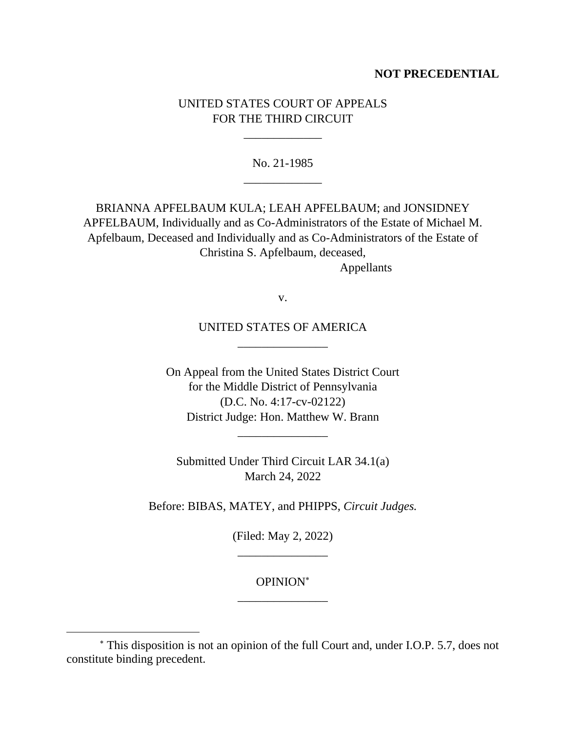# **NOT PRECEDENTIAL**

# UNITED STATES COURT OF APPEALS FOR THE THIRD CIRCUIT

\_\_\_\_\_\_\_\_\_\_\_\_\_

No. 21-1985 \_\_\_\_\_\_\_\_\_\_\_\_\_

BRIANNA APFELBAUM KULA; LEAH APFELBAUM; and JONSIDNEY APFELBAUM, Individually and as Co-Administrators of the Estate of Michael M. Apfelbaum, Deceased and Individually and as Co-Administrators of the Estate of Christina S. Apfelbaum, deceased,

Appellants

v.

UNITED STATES OF AMERICA \_\_\_\_\_\_\_\_\_\_\_\_\_\_\_

On Appeal from the United States District Court for the Middle District of Pennsylvania (D.C. No. 4:17-cv-02122) District Judge: Hon. Matthew W. Brann

\_\_\_\_\_\_\_\_\_\_\_\_\_\_\_

Submitted Under Third Circuit LAR 34.1(a) March 24, 2022

Before: BIBAS, MATEY, and PHIPPS, *Circuit Judges.*

(Filed: May 2, 2022) \_\_\_\_\_\_\_\_\_\_\_\_\_\_\_

# OPINION \_\_\_\_\_\_\_\_\_\_\_\_\_\_\_

This disposition is not an opinion of the full Court and, under I.O.P. 5.7, does not constitute binding precedent.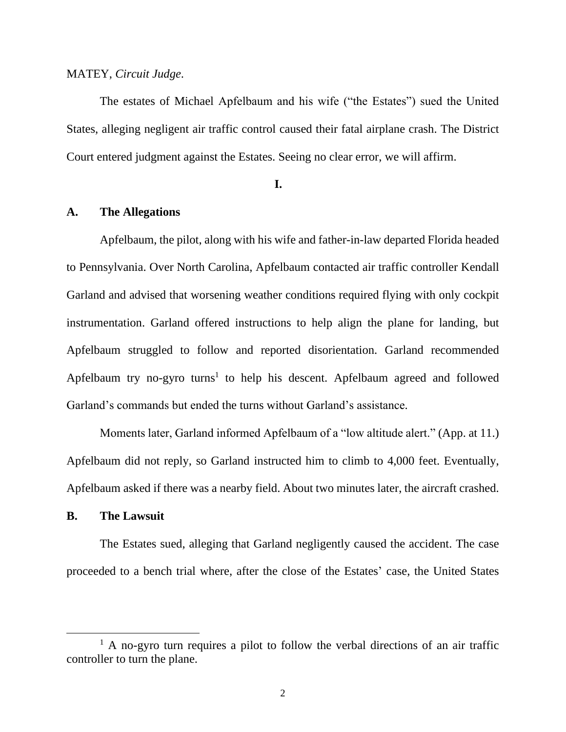#### MATEY, *Circuit Judge*.

The estates of Michael Apfelbaum and his wife ("the Estates") sued the United States, alleging negligent air traffic control caused their fatal airplane crash. The District Court entered judgment against the Estates. Seeing no clear error, we will affirm.

#### **I.**

## **A. The Allegations**

Apfelbaum, the pilot, along with his wife and father-in-law departed Florida headed to Pennsylvania. Over North Carolina, Apfelbaum contacted air traffic controller Kendall Garland and advised that worsening weather conditions required flying with only cockpit instrumentation. Garland offered instructions to help align the plane for landing, but Apfelbaum struggled to follow and reported disorientation. Garland recommended Apfelbaum try no-gyro turns<sup>1</sup> to help his descent. Apfelbaum agreed and followed Garland's commands but ended the turns without Garland's assistance.

Moments later, Garland informed Apfelbaum of a "low altitude alert." (App. at 11.) Apfelbaum did not reply, so Garland instructed him to climb to 4,000 feet. Eventually, Apfelbaum asked if there was a nearby field. About two minutes later, the aircraft crashed.

### **B. The Lawsuit**

The Estates sued, alleging that Garland negligently caused the accident. The case proceeded to a bench trial where, after the close of the Estates' case, the United States

 $<sup>1</sup>$  A no-gyro turn requires a pilot to follow the verbal directions of an air traffic</sup> controller to turn the plane.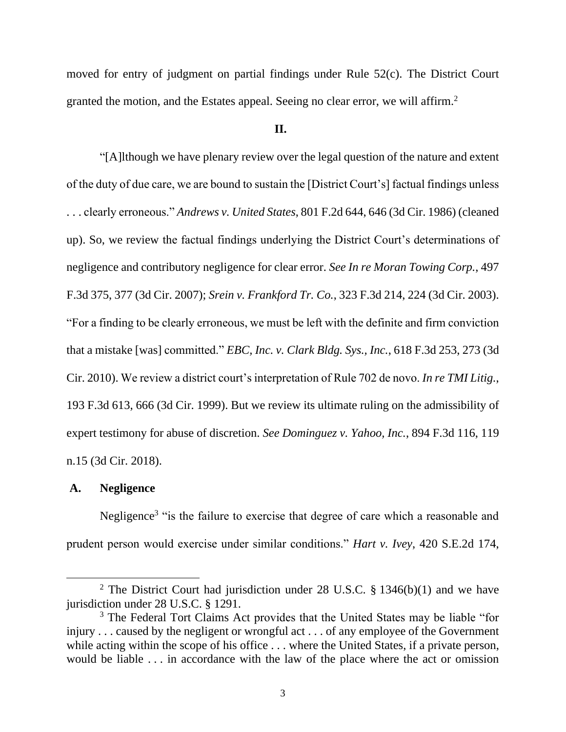moved for entry of judgment on partial findings under Rule 52(c). The District Court granted the motion, and the Estates appeal. Seeing no clear error, we will affirm.<sup>2</sup>

#### **II.**

"[A]lthough we have plenary review over the legal question of the nature and extent of the duty of due care, we are bound to sustain the [District Court's] factual findings unless . . . clearly erroneous." *Andrews v. United States*, 801 F.2d 644, 646 (3d Cir. 1986) (cleaned up). So, we review the factual findings underlying the District Court's determinations of negligence and contributory negligence for clear error. *See In re Moran Towing Corp.*, 497 F.3d 375, 377 (3d Cir. 2007); *Srein v. Frankford Tr. Co.*, 323 F.3d 214, 224 (3d Cir. 2003). "For a finding to be clearly erroneous, we must be left with the definite and firm conviction that a mistake [was] committed." *EBC, Inc. v. Clark Bldg. Sys., Inc.*, 618 F.3d 253, 273 (3d Cir. 2010). We review a district court's interpretation of Rule 702 de novo. *In re TMI Litig.*, 193 F.3d 613, 666 (3d Cir. 1999). But we review its ultimate ruling on the admissibility of expert testimony for abuse of discretion. *See Dominguez v. Yahoo, Inc.*, 894 F.3d 116, 119 n.15 (3d Cir. 2018).

## **A. Negligence**

Negligence<sup>3</sup> "is the failure to exercise that degree of care which a reasonable and prudent person would exercise under similar conditions." *Hart v. Ivey*, 420 S.E.2d 174,

<sup>&</sup>lt;sup>2</sup> The District Court had jurisdiction under 28 U.S.C.  $\S$  1346(b)(1) and we have jurisdiction under 28 U.S.C. § 1291.

<sup>&</sup>lt;sup>3</sup> The Federal Tort Claims Act provides that the United States may be liable "for injury . . . caused by the negligent or wrongful act . . . of any employee of the Government while acting within the scope of his office . . . where the United States, if a private person, would be liable . . . in accordance with the law of the place where the act or omission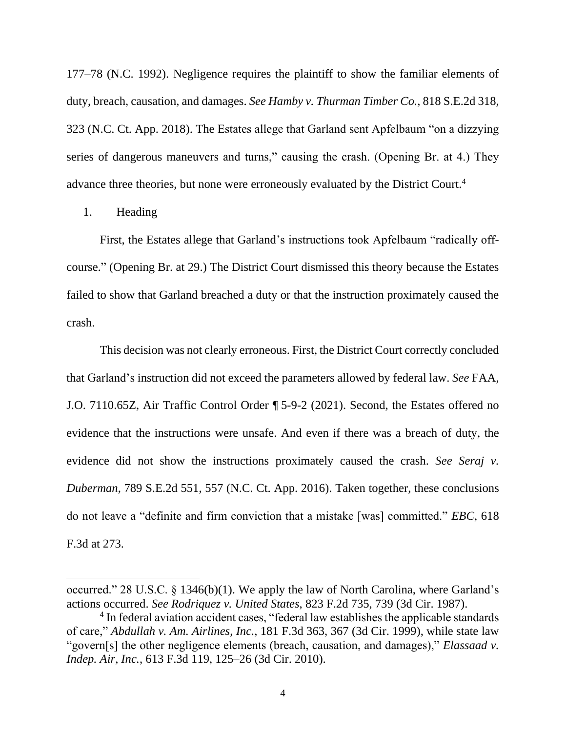177–78 (N.C. 1992). Negligence requires the plaintiff to show the familiar elements of duty, breach, causation, and damages. *See Hamby v. Thurman Timber Co.*, 818 S.E.2d 318, 323 (N.C. Ct. App. 2018). The Estates allege that Garland sent Apfelbaum "on a dizzying series of dangerous maneuvers and turns," causing the crash. (Opening Br. at 4.) They advance three theories, but none were erroneously evaluated by the District Court. 4

1. Heading

First, the Estates allege that Garland's instructions took Apfelbaum "radically offcourse." (Opening Br. at 29.) The District Court dismissed this theory because the Estates failed to show that Garland breached a duty or that the instruction proximately caused the crash.

This decision was not clearly erroneous. First, the District Court correctly concluded that Garland's instruction did not exceed the parameters allowed by federal law. *See* FAA, J.O. 7110.65Z, Air Traffic Control Order ¶ 5-9-2 (2021). Second, the Estates offered no evidence that the instructions were unsafe. And even if there was a breach of duty, the evidence did not show the instructions proximately caused the crash. *See Seraj v. Duberman*, 789 S.E.2d 551, 557 (N.C. Ct. App. 2016). Taken together, these conclusions do not leave a "definite and firm conviction that a mistake [was] committed." *EBC*, 618 F.3d at 273.

occurred." 28 U.S.C. § 1346(b)(1). We apply the law of North Carolina, where Garland's actions occurred. *See Rodriquez v. United States*, 823 F.2d 735, 739 (3d Cir. 1987).

<sup>&</sup>lt;sup>4</sup> In federal aviation accident cases, "federal law establishes the applicable standards of care," *Abdullah v. Am. Airlines*, *Inc.*, 181 F.3d 363, 367 (3d Cir. 1999), while state law "govern[s] the other negligence elements (breach, causation, and damages)," *Elassaad v. Indep. Air, Inc.*, 613 F.3d 119, 125–26 (3d Cir. 2010).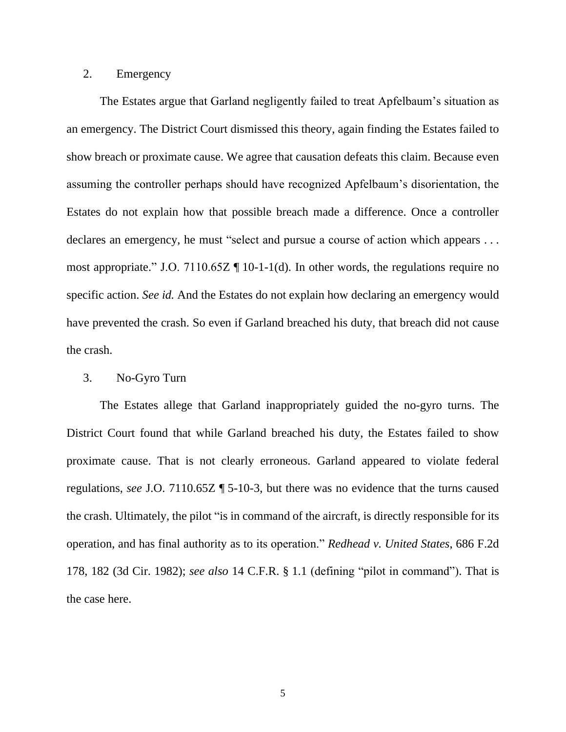# 2. Emergency

The Estates argue that Garland negligently failed to treat Apfelbaum's situation as an emergency. The District Court dismissed this theory, again finding the Estates failed to show breach or proximate cause. We agree that causation defeats this claim. Because even assuming the controller perhaps should have recognized Apfelbaum's disorientation, the Estates do not explain how that possible breach made a difference. Once a controller declares an emergency, he must "select and pursue a course of action which appears ... most appropriate." J.O. 7110.65Z ¶ 10-1-1(d). In other words, the regulations require no specific action. *See id.* And the Estates do not explain how declaring an emergency would have prevented the crash. So even if Garland breached his duty, that breach did not cause the crash.

#### 3. No-Gyro Turn

The Estates allege that Garland inappropriately guided the no-gyro turns. The District Court found that while Garland breached his duty, the Estates failed to show proximate cause. That is not clearly erroneous. Garland appeared to violate federal regulations, *see* J.O. 7110.65Z ¶ 5-10-3, but there was no evidence that the turns caused the crash. Ultimately, the pilot "is in command of the aircraft, is directly responsible for its operation, and has final authority as to its operation." *Redhead v. United States*, 686 F.2d 178, 182 (3d Cir. 1982); *see also* 14 C.F.R. § 1.1 (defining "pilot in command"). That is the case here.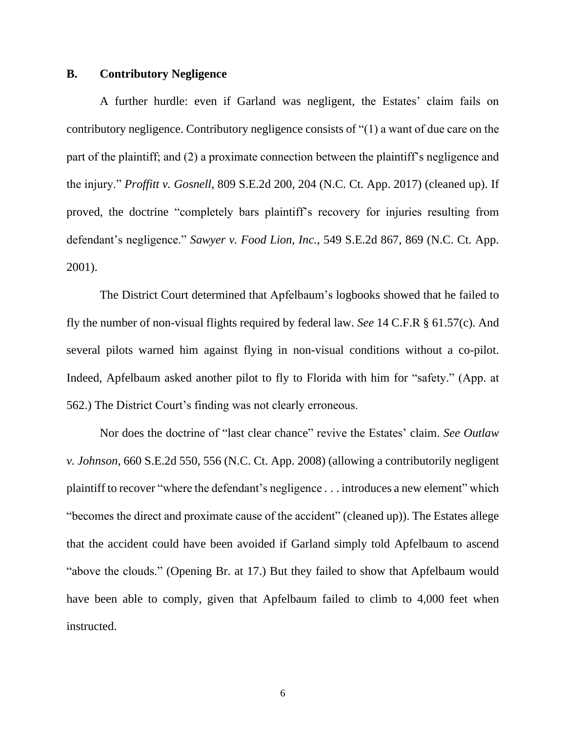## **B. Contributory Negligence**

A further hurdle: even if Garland was negligent, the Estates' claim fails on contributory negligence. Contributory negligence consists of "(1) a want of due care on the part of the plaintiff; and (2) a proximate connection between the plaintiff's negligence and the injury." *Proffitt v. Gosnell*, 809 S.E.2d 200, 204 (N.C. Ct. App. 2017) (cleaned up). If proved, the doctrine "completely bars plaintiff's recovery for injuries resulting from defendant's negligence." *Sawyer v. Food Lion, Inc.*, 549 S.E.2d 867, 869 (N.C. Ct. App. 2001).

The District Court determined that Apfelbaum's logbooks showed that he failed to fly the number of non-visual flights required by federal law. *See* 14 C.F.R § 61.57(c). And several pilots warned him against flying in non-visual conditions without a co-pilot. Indeed, Apfelbaum asked another pilot to fly to Florida with him for "safety." (App. at 562.) The District Court's finding was not clearly erroneous.

Nor does the doctrine of "last clear chance" revive the Estates' claim. *See Outlaw v. Johnson*, 660 S.E.2d 550, 556 (N.C. Ct. App. 2008) (allowing a contributorily negligent plaintiff to recover "where the defendant's negligence . . . introduces a new element" which "becomes the direct and proximate cause of the accident" (cleaned up)). The Estates allege that the accident could have been avoided if Garland simply told Apfelbaum to ascend "above the clouds." (Opening Br. at 17.) But they failed to show that Apfelbaum would have been able to comply, given that Apfelbaum failed to climb to 4,000 feet when instructed.